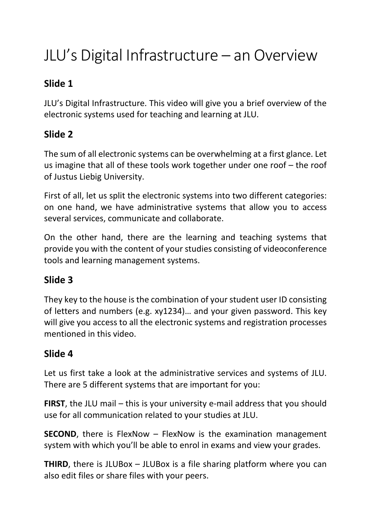# JLU's Digital Infrastructure – an Overview

## **Slide 1**

JLU's Digital Infrastructure. This video will give you a brief overview of the electronic systems used for teaching and learning at JLU.

## **Slide 2**

The sum of all electronic systems can be overwhelming at a first glance. Let us imagine that all of these tools work together under one roof – the roof of Justus Liebig University.

First of all, let us split the electronic systems into two different categories: on one hand, we have administrative systems that allow you to access several services, communicate and collaborate.

On the other hand, there are the learning and teaching systems that provide you with the content of your studies consisting of videoconference tools and learning management systems.

#### **Slide 3**

They key to the house is the combination of your student user ID consisting of letters and numbers (e.g. xy1234)… and your given password. This key will give you access to all the electronic systems and registration processes mentioned in this video.

#### **Slide 4**

Let us first take a look at the administrative services and systems of JLU. There are 5 different systems that are important for you:

**FIRST**, the JLU mail – this is your university e-mail address that you should use for all communication related to your studies at JLU.

**SECOND**, there is FlexNow – FlexNow is the examination management system with which you'll be able to enrol in exams and view your grades.

**THIRD**, there is JLUBox – JLUBox is a file sharing platform where you can also edit files or share files with your peers.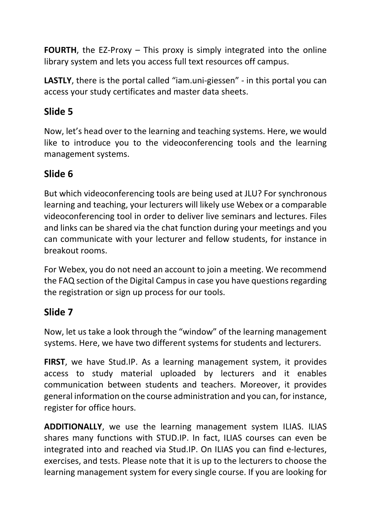**FOURTH**, the EZ-Proxy – This proxy is simply integrated into the online library system and lets you access full text resources off campus.

**LASTLY**, there is the portal called "iam.uni-giessen" - in this portal you can access your study certificates and master data sheets.

### **Slide 5**

Now, let's head over to the learning and teaching systems. Here, we would like to introduce you to the videoconferencing tools and the learning management systems.

#### **Slide 6**

But which videoconferencing tools are being used at JLU? For synchronous learning and teaching, your lecturers will likely use Webex or a comparable videoconferencing tool in order to deliver live seminars and lectures. Files and links can be shared via the chat function during your meetings and you can communicate with your lecturer and fellow students, for instance in breakout rooms.

For Webex, you do not need an account to join a meeting. We recommend the FAQ section of the Digital Campus in case you have questions regarding the registration or sign up process for our tools.

#### **Slide 7**

Now, let us take a look through the "window" of the learning management systems. Here, we have two different systems for students and lecturers.

**FIRST**, we have Stud.IP. As a learning management system, it provides access to study material uploaded by lecturers and it enables communication between students and teachers. Moreover, it provides general information on the course administration and you can, for instance, register for office hours.

**ADDITIONALLY**, we use the learning management system ILIAS. ILIAS shares many functions with STUD.IP. In fact, ILIAS courses can even be integrated into and reached via Stud.IP. On ILIAS you can find e-lectures, exercises, and tests. Please note that it is up to the lecturers to choose the learning management system for every single course. If you are looking for